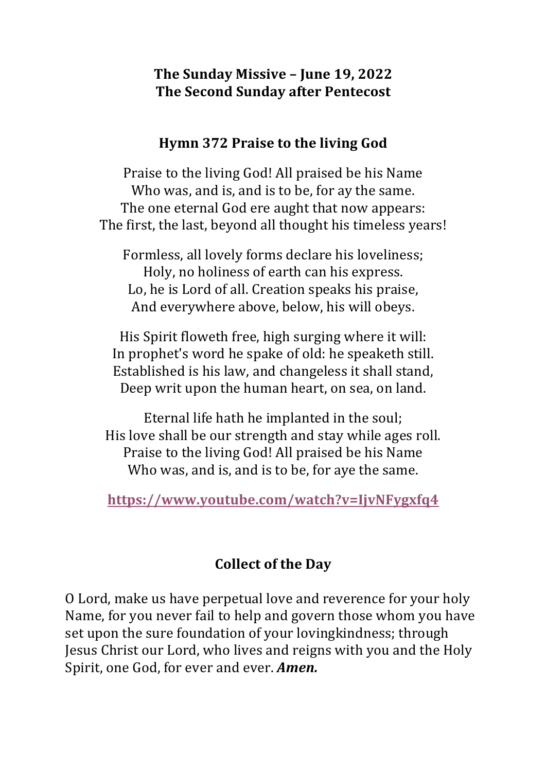#### The Sunday Missive - June 19, 2022 **The Second Sunday after Pentecost**

#### **Hymn** 372 Praise to the living God

Praise to the living God! All praised be his Name Who was, and is, and is to be, for ay the same. The one eternal God ere aught that now appears: The first, the last, beyond all thought his timeless years!

Formless, all lovely forms declare his loveliness; Holy, no holiness of earth can his express. Lo, he is Lord of all. Creation speaks his praise, And everywhere above, below, his will obeys.

His Spirit floweth free, high surging where it will: In prophet's word he spake of old: he speaketh still. Established is his law, and changeless it shall stand, Deep writ upon the human heart, on sea, on land.

Eternal life hath he implanted in the soul; His love shall be our strength and stay while ages roll. Praise to the living God! All praised be his Name Who was, and is, and is to be, for aye the same.

**https://www.youtube.com/watch?v=IjvNFygxfq4**

#### **Collect of the Day**

O Lord, make us have perpetual love and reverence for your holy Name, for you never fail to help and govern those whom you have set upon the sure foundation of your loving kindness; through Jesus Christ our Lord, who lives and reigns with you and the Holy Spirit, one God, for ever and ever. **Amen.**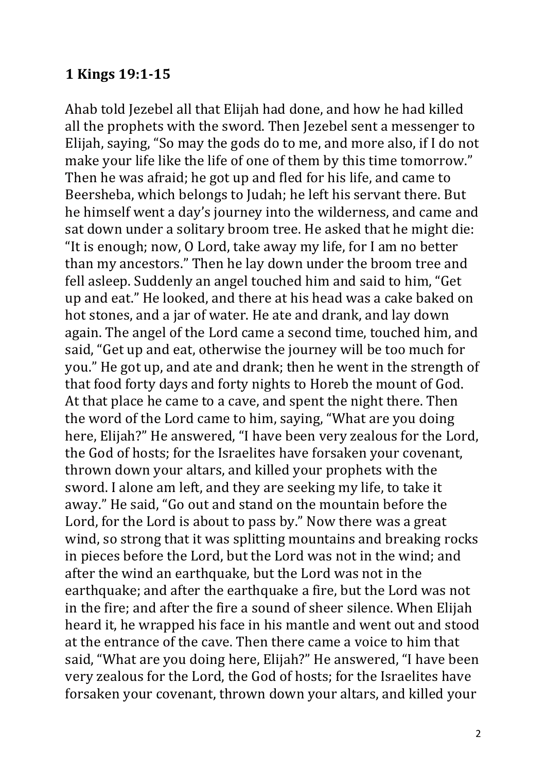#### **1 Kings 19:1-15**

Ahab told Jezebel all that Elijah had done, and how he had killed all the prophets with the sword. Then Jezebel sent a messenger to Elijah, saying, "So may the gods do to me, and more also, if I do not make your life like the life of one of them by this time tomorrow." Then he was afraid; he got up and fled for his life, and came to Beersheba, which belongs to Judah; he left his servant there. But he himself went a day's journey into the wilderness, and came and sat down under a solitary broom tree. He asked that he might die: "It is enough; now, O Lord, take away my life, for I am no better than my ancestors." Then he lay down under the broom tree and fell asleep. Suddenly an angel touched him and said to him, "Get up and eat." He looked, and there at his head was a cake baked on hot stones, and a jar of water. He ate and drank, and lay down again. The angel of the Lord came a second time, touched him, and said, "Get up and eat, otherwise the journey will be too much for you." He got up, and ate and drank; then he went in the strength of that food forty days and forty nights to Horeb the mount of God. At that place he came to a cave, and spent the night there. Then the word of the Lord came to him, saying, "What are you doing here, Elijah?" He answered, "I have been very zealous for the Lord, the God of hosts; for the Israelites have forsaken your covenant, thrown down your altars, and killed your prophets with the sword. I alone am left, and they are seeking my life, to take it away." He said, "Go out and stand on the mountain before the Lord, for the Lord is about to pass by." Now there was a great wind, so strong that it was splitting mountains and breaking rocks in pieces before the Lord, but the Lord was not in the wind; and after the wind an earthquake, but the Lord was not in the earthquake; and after the earthquake a fire, but the Lord was not in the fire; and after the fire a sound of sheer silence. When Elijah heard it, he wrapped his face in his mantle and went out and stood at the entrance of the cave. Then there came a voice to him that said, "What are you doing here, Elijah?" He answered, "I have been very zealous for the Lord, the God of hosts; for the Israelites have forsaken your covenant, thrown down your altars, and killed your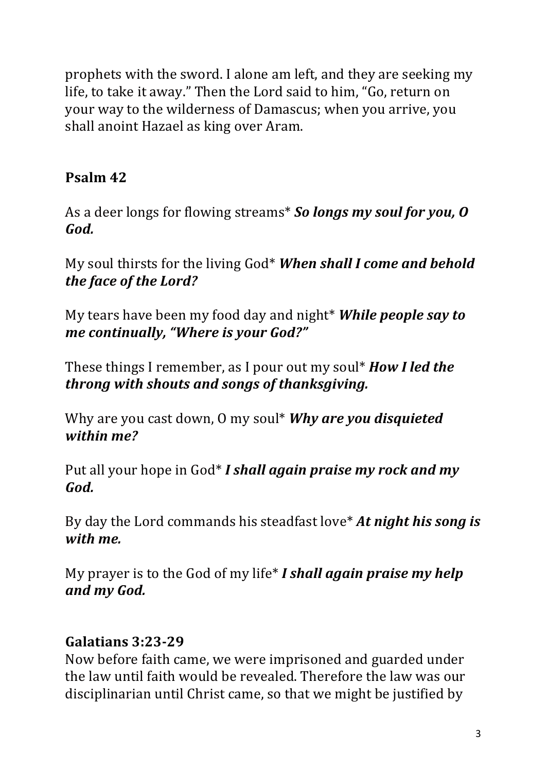prophets with the sword. I alone am left, and they are seeking my life, to take it away." Then the Lord said to him, "Go, return on your way to the wilderness of Damascus; when you arrive, you shall anoint Hazael as king over Aram.

# **Psalm 42**

As a deer longs for flowing streams<sup>\*</sup> So longs my soul for you, O *God.*

My soul thirsts for the living God<sup>\*</sup> When shall I come and behold the face of the Lord?

My tears have been my food day and night<sup>\*</sup> *While people say to me continually, "Where is your God?"* 

These things I remember, as I pour out my soul\* **How I led the** *throng with shouts and songs of thanksgiving.* 

Why are you cast down, 0 my soul\* **Why are you disquieted** *within me?*

Put all your hope in God<sup>\*</sup> *I shall again praise my rock and my* God.

By day the Lord commands his steadfast love<sup>\*</sup> At night his song is *with me.*

My prayer is to the God of my life<sup>\*</sup> *I shall again praise my help and my God.*

## **Galatians 3:23-29**

Now before faith came, we were imprisoned and guarded under the law until faith would be revealed. Therefore the law was our disciplinarian until Christ came, so that we might be justified by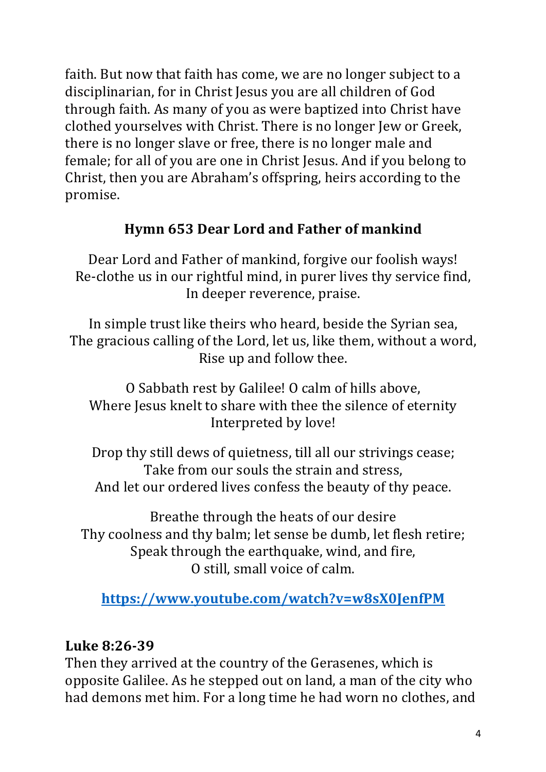faith. But now that faith has come, we are no longer subject to a disciplinarian, for in Christ Jesus you are all children of God through faith. As many of you as were baptized into Christ have clothed vourselves with Christ. There is no longer Iew or Greek. there is no longer slave or free, there is no longer male and female; for all of you are one in Christ Jesus. And if you belong to Christ, then you are Abraham's offspring, heirs according to the promise.

## **Hymn 653 Dear Lord and Father of mankind**

Dear Lord and Father of mankind, forgive our foolish ways! Re-clothe us in our rightful mind, in purer lives thy service find, In deeper reverence, praise.

In simple trust like theirs who heard, beside the Syrian sea, The gracious calling of the Lord, let us, like them, without a word, Rise up and follow thee.

O Sabbath rest by Galilee! O calm of hills above, Where Jesus knelt to share with thee the silence of eternity Interpreted by love!

Drop thy still dews of quietness, till all our strivings cease; Take from our souls the strain and stress, And let our ordered lives confess the beauty of thy peace.

Breathe through the heats of our desire Thy coolness and thy balm; let sense be dumb, let flesh retire; Speak through the earthquake, wind, and fire, O still, small voice of calm.

**https://www.youtube.com/watch?v=w8sX0JenfPM**

## **Luke 8:26-39**

Then they arrived at the country of the Gerasenes, which is opposite Galilee. As he stepped out on land, a man of the city who had demons met him. For a long time he had worn no clothes, and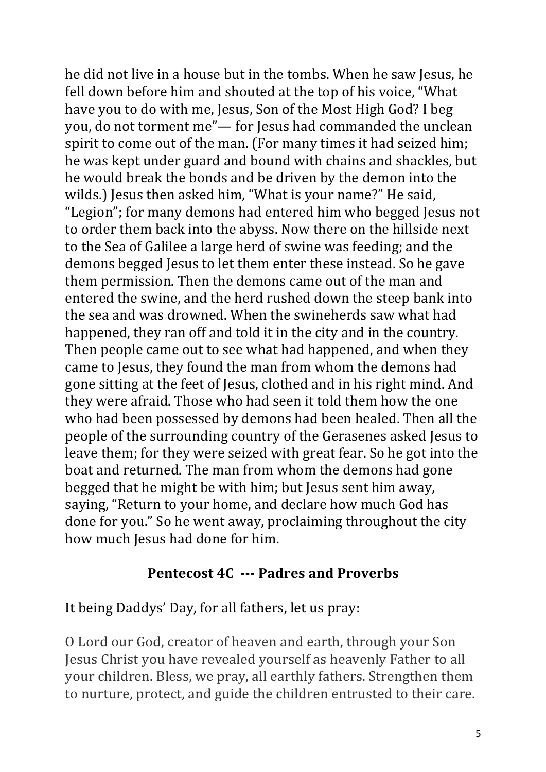he did not live in a house but in the tombs. When he saw Jesus, he fell down before him and shouted at the top of his voice, "What have you to do with me, Jesus, Son of the Most High God? I beg you, do not torment me"— for Jesus had commanded the unclean spirit to come out of the man. (For many times it had seized him; he was kept under guard and bound with chains and shackles, but he would break the bonds and be driven by the demon into the wilds.) Jesus then asked him, "What is your name?" He said, "Legion"; for many demons had entered him who begged Jesus not to order them back into the abyss. Now there on the hillside next to the Sea of Galilee a large herd of swine was feeding; and the demons begged Jesus to let them enter these instead. So he gave them permission. Then the demons came out of the man and entered the swine, and the herd rushed down the steep bank into the sea and was drowned. When the swineherds saw what had happened, they ran off and told it in the city and in the country. Then people came out to see what had happened, and when they came to Jesus, they found the man from whom the demons had gone sitting at the feet of Jesus, clothed and in his right mind. And they were afraid. Those who had seen it told them how the one who had been possessed by demons had been healed. Then all the people of the surrounding country of the Gerasenes asked Jesus to leave them; for they were seized with great fear. So he got into the boat and returned. The man from whom the demons had gone begged that he might be with him; but Jesus sent him away, saying, "Return to your home, and declare how much God has done for you." So he went away, proclaiming throughout the city how much Jesus had done for him.

#### **Pentecost 4C** --- Padres and Proverbs

It being Daddys' Day, for all fathers, let us pray:

O Lord our God, creator of heaven and earth, through your Son Jesus Christ you have revealed yourself as heavenly Father to all your children. Bless, we pray, all earthly fathers. Strengthen them to nurture, protect, and guide the children entrusted to their care.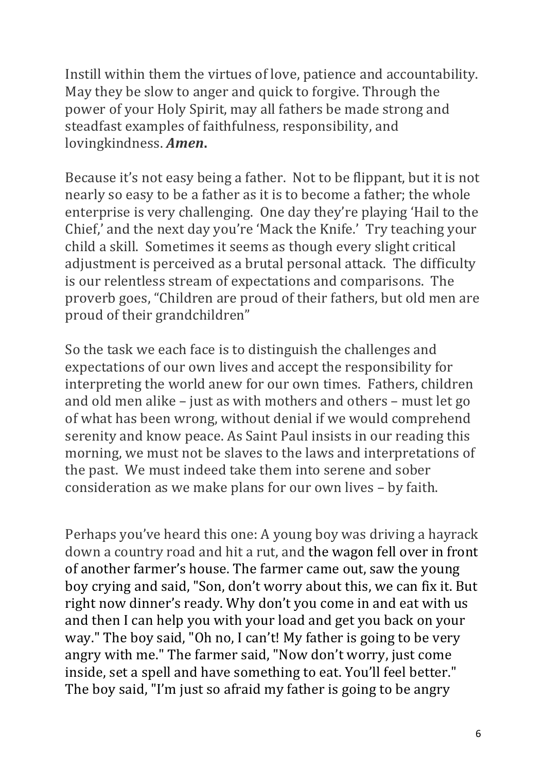Instill within them the virtues of love, patience and accountability. May they be slow to anger and quick to forgive. Through the power of your Holy Spirit, may all fathers be made strong and steadfast examples of faithfulness, responsibility, and lovingkindness. *Amen***.**

Because it's not easy being a father. Not to be flippant, but it is not nearly so easy to be a father as it is to become a father; the whole enterprise is very challenging. One day they're playing 'Hail to the Chief,' and the next day you're 'Mack the Knife.' Try teaching your child a skill. Sometimes it seems as though every slight critical adjustment is perceived as a brutal personal attack. The difficulty is our relentless stream of expectations and comparisons. The proverb goes, "Children are proud of their fathers, but old men are proud of their grandchildren"

So the task we each face is to distinguish the challenges and expectations of our own lives and accept the responsibility for interpreting the world anew for our own times. Fathers, children and old men alike  $-$  just as with mothers and others  $-$  must let go of what has been wrong, without denial if we would comprehend serenity and know peace. As Saint Paul insists in our reading this morning, we must not be slaves to the laws and interpretations of the past. We must indeed take them into serene and sober consideration as we make plans for our own lives - by faith.

Perhaps you've heard this one: A young boy was driving a hayrack down a country road and hit a rut, and the wagon fell over in front of another farmer's house. The farmer came out, saw the young boy crying and said, "Son, don't worry about this, we can fix it. But right now dinner's ready. Why don't you come in and eat with us and then I can help you with your load and get you back on your way." The boy said, "Oh no, I can't! My father is going to be very angry with me." The farmer said, "Now don't worry, just come inside, set a spell and have something to eat. You'll feel better." The boy said, "I'm just so afraid my father is going to be angry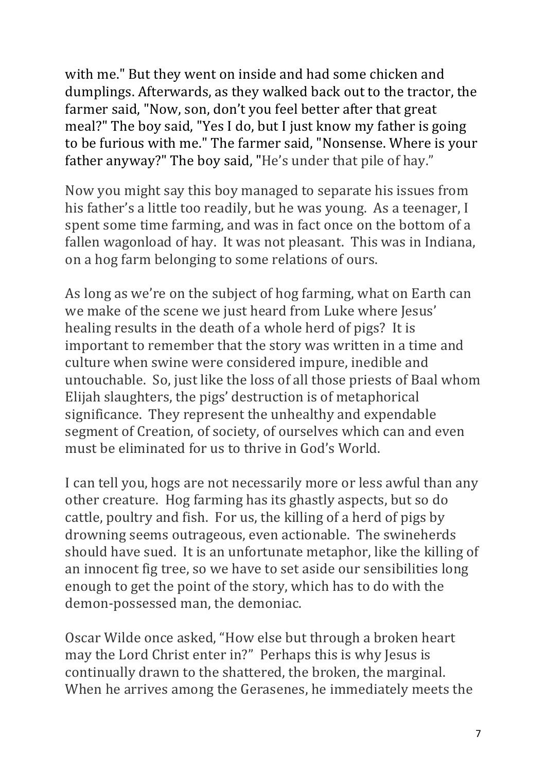with me." But they went on inside and had some chicken and dumplings. Afterwards, as they walked back out to the tractor, the farmer said, "Now, son, don't you feel better after that great meal?" The boy said, "Yes I do, but I just know my father is going to be furious with me." The farmer said, "Nonsense. Where is your father anyway?" The boy said, "He's under that pile of hay."

Now you might say this boy managed to separate his issues from his father's a little too readily, but he was young. As a teenager, I spent some time farming, and was in fact once on the bottom of a fallen wagonload of hay. It was not pleasant. This was in Indiana, on a hog farm belonging to some relations of ours.

As long as we're on the subject of hog farming, what on Earth can we make of the scene we just heard from Luke where Jesus' healing results in the death of a whole herd of pigs? It is important to remember that the story was written in a time and culture when swine were considered impure, inedible and untouchable. So, just like the loss of all those priests of Baal whom Elijah slaughters, the pigs' destruction is of metaphorical significance. They represent the unhealthy and expendable segment of Creation, of society, of ourselves which can and even must be eliminated for us to thrive in God's World.

I can tell you, hogs are not necessarily more or less awful than any other creature. Hog farming has its ghastly aspects, but so do cattle, poultry and fish. For us, the killing of a herd of pigs by drowning seems outrageous, even actionable. The swineherds should have sued. It is an unfortunate metaphor, like the killing of an innocent fig tree, so we have to set aside our sensibilities long enough to get the point of the story, which has to do with the demon-possessed man, the demoniac.

Oscar Wilde once asked, "How else but through a broken heart may the Lord Christ enter in?" Perhaps this is why Jesus is continually drawn to the shattered, the broken, the marginal. When he arrives among the Gerasenes, he immediately meets the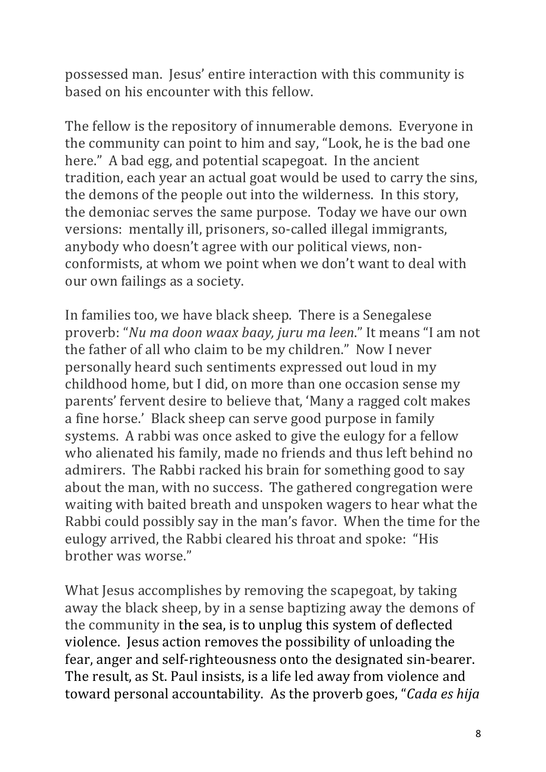possessed man. Jesus' entire interaction with this community is based on his encounter with this fellow.

The fellow is the repository of innumerable demons. Everyone in the community can point to him and say, "Look, he is the bad one here." A bad egg, and potential scapegoat. In the ancient tradition, each year an actual goat would be used to carry the sins, the demons of the people out into the wilderness. In this story, the demoniac serves the same purpose. Today we have our own versions: mentally ill, prisoners, so-called illegal immigrants, anybody who doesn't agree with our political views, nonconformists, at whom we point when we don't want to deal with our own failings as a society.

In families too, we have black sheep. There is a Senegalese proverb: "*Nu ma doon waax baay, juru ma leen*." It means "I am not the father of all who claim to be my children." Now I never personally heard such sentiments expressed out loud in my childhood home, but I did, on more than one occasion sense my parents' fervent desire to believe that, 'Many a ragged colt makes a fine horse.' Black sheep can serve good purpose in family systems. A rabbi was once asked to give the eulogy for a fellow who alienated his family, made no friends and thus left behind no admirers. The Rabbi racked his brain for something good to say about the man, with no success. The gathered congregation were waiting with baited breath and unspoken wagers to hear what the Rabbi could possibly say in the man's favor. When the time for the eulogy arrived, the Rabbi cleared his throat and spoke: "His brother was worse."

What Jesus accomplishes by removing the scapegoat, by taking away the black sheep, by in a sense baptizing away the demons of the community in the sea, is to unplug this system of deflected violence. Jesus action removes the possibility of unloading the fear, anger and self-righteousness onto the designated sin-bearer. The result, as St. Paul insists, is a life led away from violence and toward personal accountability. As the proverb goes, "*Cada es hija*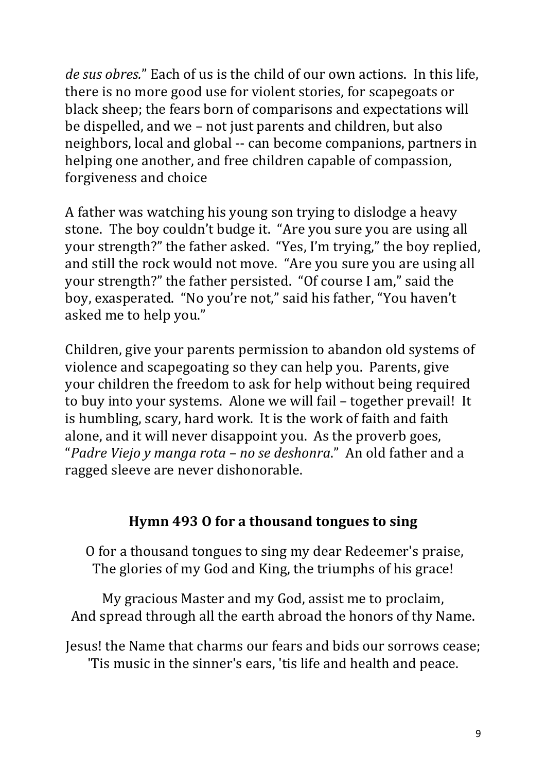*de sus obres.*" Each of us is the child of our own actions. In this life, there is no more good use for violent stories, for scapegoats or black sheep; the fears born of comparisons and expectations will be dispelled, and we – not just parents and children, but also neighbors, local and global -- can become companions, partners in helping one another, and free children capable of compassion, forgiveness and choice

A father was watching his young son trying to dislodge a heavy stone. The boy couldn't budge it. "Are you sure you are using all your strength?" the father asked. "Yes, I'm trying," the boy replied, and still the rock would not move. "Are you sure you are using all your strength?" the father persisted. "Of course I am," said the boy, exasperated. "No you're not," said his father, "You haven't asked me to help you."

Children, give your parents permission to abandon old systems of violence and scapegoating so they can help you. Parents, give your children the freedom to ask for help without being required to buy into your systems. Alone we will fail - together prevail! It is humbling, scary, hard work. It is the work of faith and faith alone, and it will never disappoint you. As the proverb goes, "Padre Viejo y manga rota - no se deshonra." An old father and a ragged sleeve are never dishonorable.

## Hymn 493 O for a thousand tongues to sing

O for a thousand tongues to sing my dear Redeemer's praise, The glories of my God and King, the triumphs of his grace!

My gracious Master and my God, assist me to proclaim, And spread through all the earth abroad the honors of thy Name.

Jesus! the Name that charms our fears and bids our sorrows cease; 'Tis music in the sinner's ears, 'tis life and health and peace.